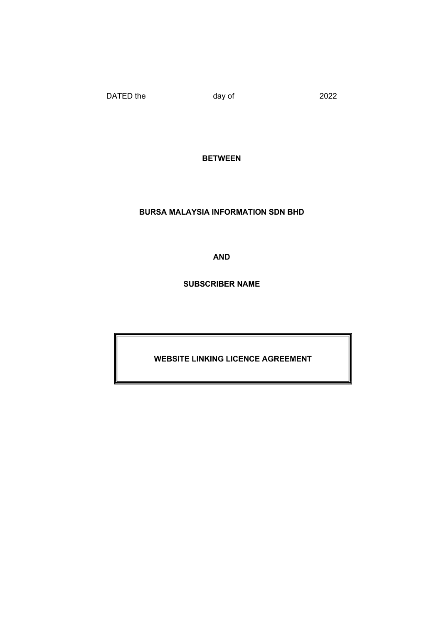DATED the day of 2022

**BETWEEN** 

BURSA MALAYSIA INFORMATION SDN BHD

AND

SUBSCRIBER NAME

WEBSITE LINKING LICENCE AGREEMENT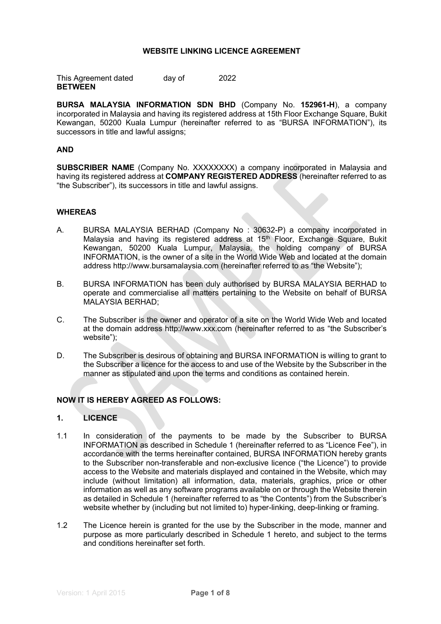### WEBSITE LINKING LICENCE AGREEMENT

This Agreement dated day of 2022 **BETWEEN** 

BURSA MALAYSIA INFORMATION SDN BHD (Company No. 152961-H), a company incorporated in Malaysia and having its registered address at 15th Floor Exchange Square, Bukit Kewangan, 50200 Kuala Lumpur (hereinafter referred to as "BURSA INFORMATION"), its successors in title and lawful assigns;

### AND

SUBSCRIBER NAME (Company No. XXXXXXXX) a company incorporated in Malaysia and having its registered address at COMPANY REGISTERED ADDRESS (hereinafter referred to as "the Subscriber"), its successors in title and lawful assigns.

#### WHEREAS

- A. BURSA MALAYSIA BERHAD (Company No : 30632-P) a company incorporated in Malaysia and having its registered address at 15<sup>th</sup> Floor, Exchange Square, Bukit Kewangan, 50200 Kuala Lumpur, Malaysia, the holding company of BURSA INFORMATION, is the owner of a site in the World Wide Web and located at the domain address http://www.bursamalaysia.com (hereinafter referred to as "the Website");
- B. BURSA INFORMATION has been duly authorised by BURSA MALAYSIA BERHAD to operate and commercialise all matters pertaining to the Website on behalf of BURSA MALAYSIA BERHAD;
- C. The Subscriber is the owner and operator of a site on the World Wide Web and located at the domain address http://www.xxx.com (hereinafter referred to as "the Subscriber's website");
- D. The Subscriber is desirous of obtaining and BURSA INFORMATION is willing to grant to the Subscriber a licence for the access to and use of the Website by the Subscriber in the manner as stipulated and upon the terms and conditions as contained herein.

### NOW IT IS HEREBY AGREED AS FOLLOWS:

### 1. LICENCE

- 1.1 In consideration of the payments to be made by the Subscriber to BURSA INFORMATION as described in Schedule 1 (hereinafter referred to as "Licence Fee"), in accordance with the terms hereinafter contained, BURSA INFORMATION hereby grants to the Subscriber non-transferable and non-exclusive licence ("the Licence") to provide access to the Website and materials displayed and contained in the Website, which may include (without limitation) all information, data, materials, graphics, price or other information as well as any software programs available on or through the Website therein as detailed in Schedule 1 (hereinafter referred to as "the Contents") from the Subscriber's website whether by (including but not limited to) hyper-linking, deep-linking or framing.
- 1.2 The Licence herein is granted for the use by the Subscriber in the mode, manner and purpose as more particularly described in Schedule 1 hereto, and subject to the terms and conditions hereinafter set forth.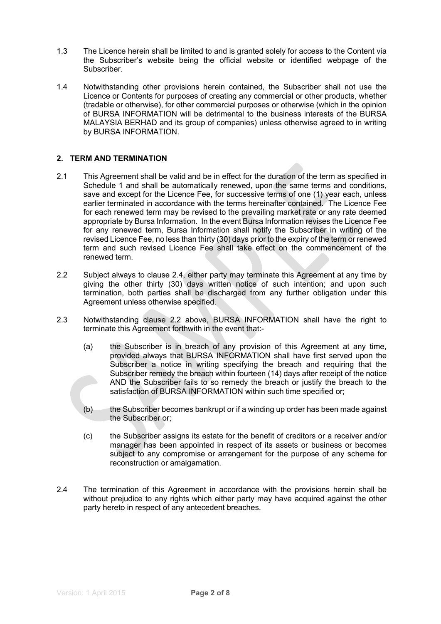- 1.3 The Licence herein shall be limited to and is granted solely for access to the Content via the Subscriber's website being the official website or identified webpage of the Subscriber.
- 1.4 Notwithstanding other provisions herein contained, the Subscriber shall not use the Licence or Contents for purposes of creating any commercial or other products, whether (tradable or otherwise), for other commercial purposes or otherwise (which in the opinion of BURSA INFORMATION will be detrimental to the business interests of the BURSA MALAYSIA BERHAD and its group of companies) unless otherwise agreed to in writing by BURSA INFORMATION.

### 2. TERM AND TERMINATION

- 2.1 This Agreement shall be valid and be in effect for the duration of the term as specified in Schedule 1 and shall be automatically renewed, upon the same terms and conditions, save and except for the Licence Fee, for successive terms of one (1) year each, unless earlier terminated in accordance with the terms hereinafter contained. The Licence Fee for each renewed term may be revised to the prevailing market rate or any rate deemed appropriate by Bursa Information. In the event Bursa Information revises the Licence Fee for any renewed term, Bursa Information shall notify the Subscriber in writing of the revised Licence Fee, no less than thirty (30) days prior to the expiry of the term or renewed term and such revised Licence Fee shall take effect on the commencement of the renewed term.
- 2.2 Subject always to clause 2.4, either party may terminate this Agreement at any time by giving the other thirty (30) days written notice of such intention; and upon such termination, both parties shall be discharged from any further obligation under this Agreement unless otherwise specified.
- 2.3 Notwithstanding clause 2.2 above, BURSA INFORMATION shall have the right to terminate this Agreement forthwith in the event that:-
	- (a) the Subscriber is in breach of any provision of this Agreement at any time, provided always that BURSA INFORMATION shall have first served upon the Subscriber a notice in writing specifying the breach and requiring that the Subscriber remedy the breach within fourteen (14) days after receipt of the notice AND the Subscriber fails to so remedy the breach or justify the breach to the satisfaction of BURSA INFORMATION within such time specified or;
	- (b) the Subscriber becomes bankrupt or if a winding up order has been made against the Subscriber or;
	- (c) the Subscriber assigns its estate for the benefit of creditors or a receiver and/or manager has been appointed in respect of its assets or business or becomes subject to any compromise or arrangement for the purpose of any scheme for reconstruction or amalgamation.
- 2.4 The termination of this Agreement in accordance with the provisions herein shall be without prejudice to any rights which either party may have acquired against the other party hereto in respect of any antecedent breaches.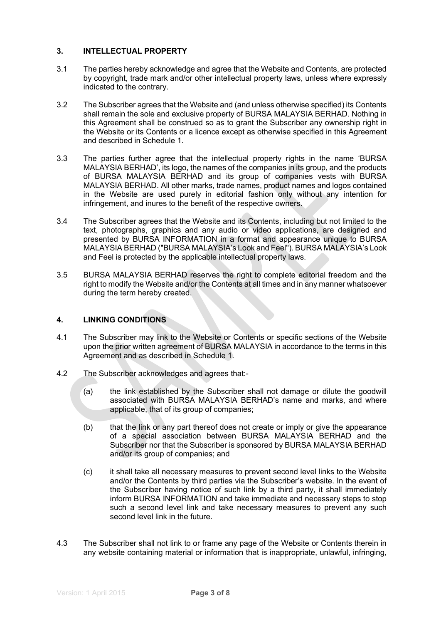# 3. INTELLECTUAL PROPERTY

- 3.1 The parties hereby acknowledge and agree that the Website and Contents, are protected by copyright, trade mark and/or other intellectual property laws, unless where expressly indicated to the contrary.
- 3.2 The Subscriber agrees that the Website and (and unless otherwise specified) its Contents shall remain the sole and exclusive property of BURSA MALAYSIA BERHAD. Nothing in this Agreement shall be construed so as to grant the Subscriber any ownership right in the Website or its Contents or a licence except as otherwise specified in this Agreement and described in Schedule 1.
- 3.3 The parties further agree that the intellectual property rights in the name 'BURSA MALAYSIA BERHAD', its logo, the names of the companies in its group, and the products of BURSA MALAYSIA BERHAD and its group of companies vests with BURSA MALAYSIA BERHAD. All other marks, trade names, product names and logos contained in the Website are used purely in editorial fashion only without any intention for infringement, and inures to the benefit of the respective owners.
- 3.4 The Subscriber agrees that the Website and its Contents, including but not limited to the text, photographs, graphics and any audio or video applications, are designed and presented by BURSA INFORMATION in a format and appearance unique to BURSA MALAYSIA BERHAD ("BURSA MALAYSIA's Look and Feel"). BURSA MALAYSIA's Look and Feel is protected by the applicable intellectual property laws.
- 3.5 BURSA MALAYSIA BERHAD reserves the right to complete editorial freedom and the right to modify the Website and/or the Contents at all times and in any manner whatsoever during the term hereby created.

# 4. LINKING CONDITIONS

- 4.1 The Subscriber may link to the Website or Contents or specific sections of the Website upon the prior written agreement of BURSA MALAYSIA in accordance to the terms in this Agreement and as described in Schedule 1.
- 4.2 The Subscriber acknowledges and agrees that:-
	- (a) the link established by the Subscriber shall not damage or dilute the goodwill associated with BURSA MALAYSIA BERHAD's name and marks, and where applicable, that of its group of companies;
	- (b) that the link or any part thereof does not create or imply or give the appearance of a special association between BURSA MALAYSIA BERHAD and the Subscriber nor that the Subscriber is sponsored by BURSA MALAYSIA BERHAD and/or its group of companies; and
	- (c) it shall take all necessary measures to prevent second level links to the Website and/or the Contents by third parties via the Subscriber's website. In the event of the Subscriber having notice of such link by a third party, it shall immediately inform BURSA INFORMATION and take immediate and necessary steps to stop such a second level link and take necessary measures to prevent any such second level link in the future.
- 4.3 The Subscriber shall not link to or frame any page of the Website or Contents therein in any website containing material or information that is inappropriate, unlawful, infringing,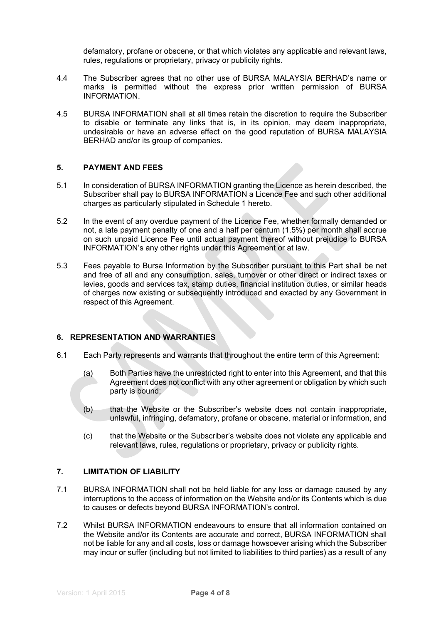defamatory, profane or obscene, or that which violates any applicable and relevant laws, rules, regulations or proprietary, privacy or publicity rights.

- 4.4 The Subscriber agrees that no other use of BURSA MALAYSIA BERHAD's name or marks is permitted without the express prior written permission of BURSA INFORMATION.
- 4.5 BURSA INFORMATION shall at all times retain the discretion to require the Subscriber to disable or terminate any links that is, in its opinion, may deem inappropriate, undesirable or have an adverse effect on the good reputation of BURSA MALAYSIA BERHAD and/or its group of companies.

### 5. PAYMENT AND FEES

- 5.1 In consideration of BURSA INFORMATION granting the Licence as herein described, the Subscriber shall pay to BURSA INFORMATION a Licence Fee and such other additional charges as particularly stipulated in Schedule 1 hereto.
- 5.2 In the event of any overdue payment of the Licence Fee, whether formally demanded or not, a late payment penalty of one and a half per centum (1.5%) per month shall accrue on such unpaid Licence Fee until actual payment thereof without prejudice to BURSA INFORMATION's any other rights under this Agreement or at law.
- 5.3 Fees payable to Bursa Information by the Subscriber pursuant to this Part shall be net and free of all and any consumption, sales, turnover or other direct or indirect taxes or levies, goods and services tax, stamp duties, financial institution duties, or similar heads of charges now existing or subsequently introduced and exacted by any Government in respect of this Agreement.

### 6. REPRESENTATION AND WARRANTIES

- 6.1 Each Party represents and warrants that throughout the entire term of this Agreement:
	- (a) Both Parties have the unrestricted right to enter into this Agreement, and that this Agreement does not conflict with any other agreement or obligation by which such party is bound;
	- (b) that the Website or the Subscriber's website does not contain inappropriate, unlawful, infringing, defamatory, profane or obscene, material or information, and
	- (c) that the Website or the Subscriber's website does not violate any applicable and relevant laws, rules, regulations or proprietary, privacy or publicity rights.

#### 7. LIMITATION OF LIABILITY

- 7.1 BURSA INFORMATION shall not be held liable for any loss or damage caused by any interruptions to the access of information on the Website and/or its Contents which is due to causes or defects beyond BURSA INFORMATION's control.
- 7.2 Whilst BURSA INFORMATION endeavours to ensure that all information contained on the Website and/or its Contents are accurate and correct, BURSA INFORMATION shall not be liable for any and all costs, loss or damage howsoever arising which the Subscriber may incur or suffer (including but not limited to liabilities to third parties) as a result of any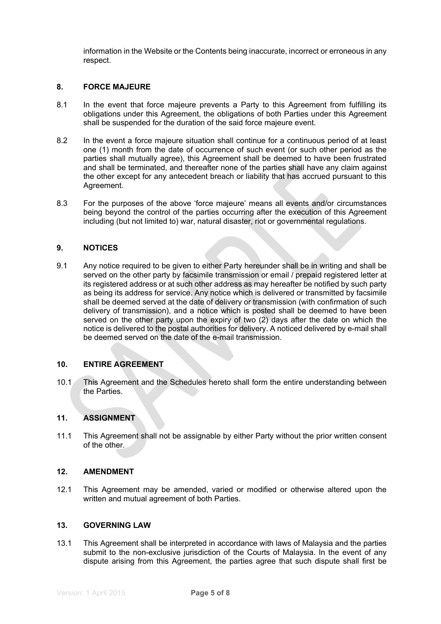information in the Website or the Contents being inaccurate, incorrect or erroneous in any respect.

### 8. FORCE MAJEURE

- 8.1 In the event that force majeure prevents a Party to this Agreement from fulfilling its obligations under this Agreement, the obligations of both Parties under this Agreement shall be suspended for the duration of the said force majeure event.
- 8.2 In the event a force majeure situation shall continue for a continuous period of at least one (1) month from the date of occurrence of such event (or such other period as the parties shall mutually agree), this Agreement shall be deemed to have been frustrated and shall be terminated, and thereafter none of the parties shall have any claim against the other except for any antecedent breach or liability that has accrued pursuant to this Agreement.
- 8.3 For the purposes of the above 'force majeure' means all events and/or circumstances being beyond the control of the parties occurring after the execution of this Agreement including (but not limited to) war, natural disaster, riot or governmental regulations.

### 9. NOTICES

9.1 Any notice required to be given to either Party hereunder shall be in writing and shall be served on the other party by facsimile transmission or email / prepaid registered letter at its registered address or at such other address as may hereafter be notified by such party as being its address for service. Any notice which is delivered or transmitted by facsimile shall be deemed served at the date of delivery or transmission (with confirmation of such delivery of transmission), and a notice which is posted shall be deemed to have been served on the other party upon the expiry of two (2) days after the date on which the notice is delivered to the postal authorities for delivery. A noticed delivered by e-mail shall be deemed served on the date of the e-mail transmission.

#### 10. ENTIRE AGREEMENT

10.1 This Agreement and the Schedules hereto shall form the entire understanding between the Parties.

### 11. ASSIGNMENT

11.1 This Agreement shall not be assignable by either Party without the prior written consent of the other.

### 12. AMENDMENT

12.1 This Agreement may be amended, varied or modified or otherwise altered upon the written and mutual agreement of both Parties.

#### 13. GOVERNING LAW

13.1 This Agreement shall be interpreted in accordance with laws of Malaysia and the parties submit to the non-exclusive jurisdiction of the Courts of Malaysia. In the event of any dispute arising from this Agreement, the parties agree that such dispute shall first be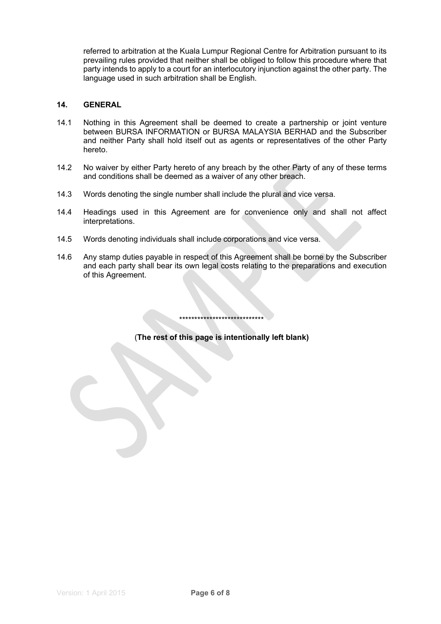referred to arbitration at the Kuala Lumpur Regional Centre for Arbitration pursuant to its prevailing rules provided that neither shall be obliged to follow this procedure where that party intends to apply to a court for an interlocutory injunction against the other party. The language used in such arbitration shall be English.

### 14. GENERAL

- 14.1 Nothing in this Agreement shall be deemed to create a partnership or joint venture between BURSA INFORMATION or BURSA MALAYSIA BERHAD and the Subscriber and neither Party shall hold itself out as agents or representatives of the other Party hereto.
- 14.2 No waiver by either Party hereto of any breach by the other Party of any of these terms and conditions shall be deemed as a waiver of any other breach.
- 14.3 Words denoting the single number shall include the plural and vice versa.
- 14.4 Headings used in this Agreement are for convenience only and shall not affect interpretations.
- 14.5 Words denoting individuals shall include corporations and vice versa.
- 14.6 Any stamp duties payable in respect of this Agreement shall be borne by the Subscriber and each party shall bear its own legal costs relating to the preparations and execution of this Agreement.

(The rest of this page is intentionally left blank)

\*\*\*\*\*\*\*\*\*\*\*\*\*\*\*\*\*\*\*\*\*\*\*\*\*\*\*\*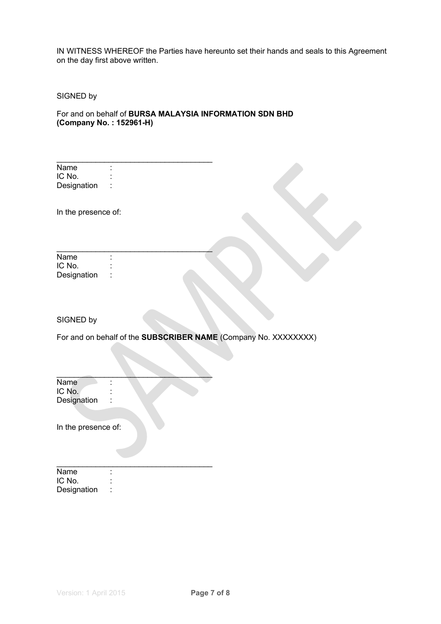IN WITNESS WHEREOF the Parties have hereunto set their hands and seals to this Agreement on the day first above written.

SIGNED by

For and on behalf of BURSA MALAYSIA INFORMATION SDN BHD (Company No. : 152961-H)

\_\_\_\_\_\_\_\_\_\_\_\_\_\_\_\_\_\_\_\_\_\_\_\_\_\_\_\_\_\_\_\_\_\_\_\_

 $\mathcal{L}$  , we can also the contribution of the contribution of  $\mathcal{L}$ 

 $\overline{\phantom{a}}$ 

\_\_\_\_\_\_\_\_\_\_\_\_\_\_\_\_\_\_\_\_\_\_\_\_\_\_\_\_\_\_\_\_\_\_\_\_

| Name        |  |
|-------------|--|
| IC No.      |  |
| Designation |  |

In the presence of:

| Name        |  |
|-------------|--|
| IC No.      |  |
| Designation |  |

### SIGNED by

For and on behalf of the **SUBSCRIBER NAME** (Company No. XXXXXXXX)

Name : IC No.  $\qquad \qquad :$ Designation :

In the presence of:

| Name        |  |
|-------------|--|
| IC No.      |  |
| Designation |  |